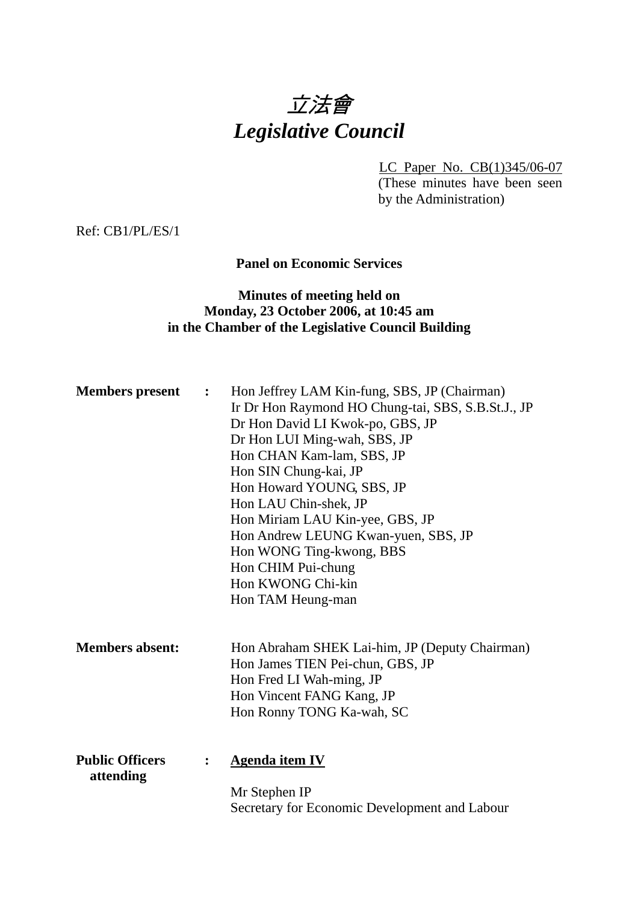# 立法會 *Legislative Council*

LC Paper No. CB(1)345/06-07 (These minutes have been seen by the Administration)

Ref: CB1/PL/ES/1

## **Panel on Economic Services**

## **Minutes of meeting held on Monday, 23 October 2006, at 10:45 am in the Chamber of the Legislative Council Building**

| <b>Members</b> present              | $\ddot{\cdot}$ | Hon Jeffrey LAM Kin-fung, SBS, JP (Chairman)<br>Ir Dr Hon Raymond HO Chung-tai, SBS, S.B.St.J., JP<br>Dr Hon David LI Kwok-po, GBS, JP<br>Dr Hon LUI Ming-wah, SBS, JP<br>Hon CHAN Kam-lam, SBS, JP<br>Hon SIN Chung-kai, JP<br>Hon Howard YOUNG, SBS, JP<br>Hon LAU Chin-shek, JP<br>Hon Miriam LAU Kin-yee, GBS, JP<br>Hon Andrew LEUNG Kwan-yuen, SBS, JP<br>Hon WONG Ting-kwong, BBS<br>Hon CHIM Pui-chung<br>Hon KWONG Chi-kin<br>Hon TAM Heung-man |
|-------------------------------------|----------------|----------------------------------------------------------------------------------------------------------------------------------------------------------------------------------------------------------------------------------------------------------------------------------------------------------------------------------------------------------------------------------------------------------------------------------------------------------|
| <b>Members absent:</b>              |                | Hon Abraham SHEK Lai-him, JP (Deputy Chairman)<br>Hon James TIEN Pei-chun, GBS, JP<br>Hon Fred LI Wah-ming, JP<br>Hon Vincent FANG Kang, JP<br>Hon Ronny TONG Ka-wah, SC                                                                                                                                                                                                                                                                                 |
| <b>Public Officers</b><br>attending | $\ddot{\cdot}$ | <b>Agenda item IV</b><br>Mr Stephen IP<br>Secretary for Economic Development and Labour                                                                                                                                                                                                                                                                                                                                                                  |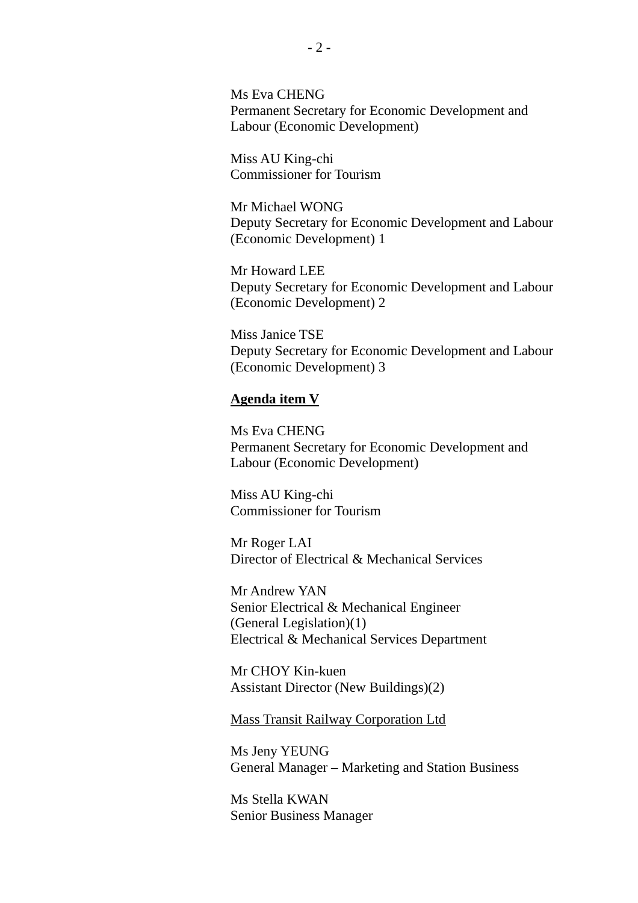Ms Eva CHENG Permanent Secretary for Economic Development and Labour (Economic Development)

Miss AU King-chi Commissioner for Tourism

Mr Michael WONG Deputy Secretary for Economic Development and Labour (Economic Development) 1

Mr Howard LEE Deputy Secretary for Economic Development and Labour (Economic Development) 2

Miss Janice TSE Deputy Secretary for Economic Development and Labour (Economic Development) 3

#### **Agenda item V**

Ms Eva CHENG Permanent Secretary for Economic Development and Labour (Economic Development)

Miss AU King-chi Commissioner for Tourism

Mr Roger LAI Director of Electrical & Mechanical Services

Mr Andrew YAN Senior Electrical & Mechanical Engineer (General Legislation)(1) Electrical & Mechanical Services Department

Mr CHOY Kin-kuen Assistant Director (New Buildings)(2)

Mass Transit Railway Corporation Ltd

Ms Jeny YEUNG General Manager – Marketing and Station Business

Ms Stella KWAN Senior Business Manager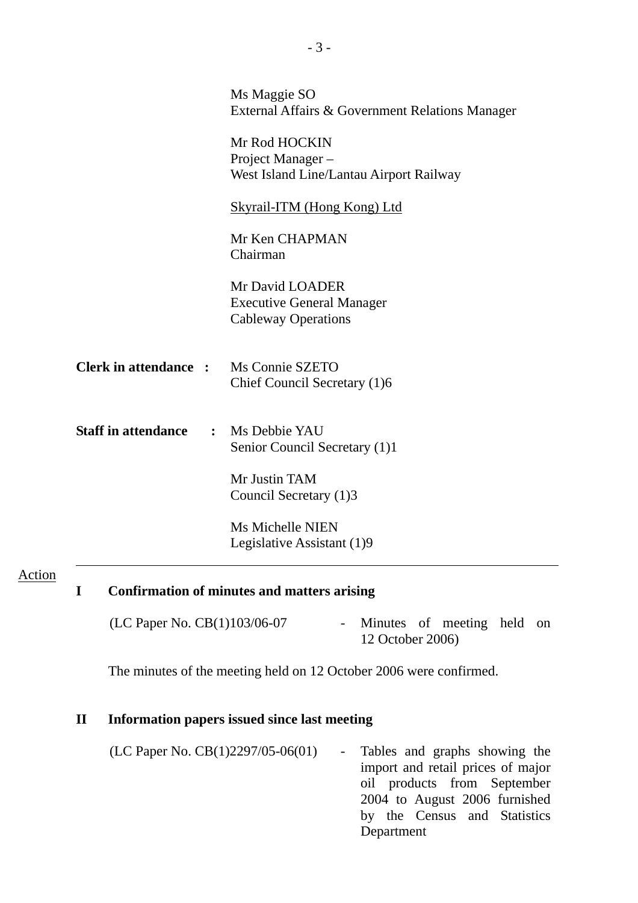|                             | Ms Maggie SO<br>External Affairs & Government Relations Manager                   |
|-----------------------------|-----------------------------------------------------------------------------------|
|                             | Mr Rod HOCKIN<br>Project Manager-<br>West Island Line/Lantau Airport Railway      |
|                             | <b>Skyrail-ITM (Hong Kong) Ltd</b>                                                |
|                             | Mr Ken CHAPMAN<br>Chairman                                                        |
|                             | Mr David LOADER<br><b>Executive General Manager</b><br><b>Cableway Operations</b> |
| <b>Clerk in attendance:</b> | Ms Connie SZETO<br>Chief Council Secretary (1)6                                   |
| <b>Staff in attendance</b>  | : Ms Debbie YAU<br>Senior Council Secretary (1)1                                  |
|                             | Mr Justin TAM<br>Council Secretary (1)3                                           |
|                             | Ms Michelle NIEN<br>Legislative Assistant (1)9                                    |

#### Action

# **I Confirmation of minutes and matters arising**

| (LC Paper No. CB(1)103/06-07 | - Minutes of meeting held on |  |  |
|------------------------------|------------------------------|--|--|
|                              | 12 October 2006)             |  |  |

The minutes of the meeting held on 12 October 2006 were confirmed.

## **II Information papers issued since last meeting**

 $(LC$  Paper No.  $CB(1)$ 2297/05-06 $(01)$  - Tables and graphs showing the import and retail prices of major oil products from September 2004 to August 2006 furnished by the Census and Statistics Department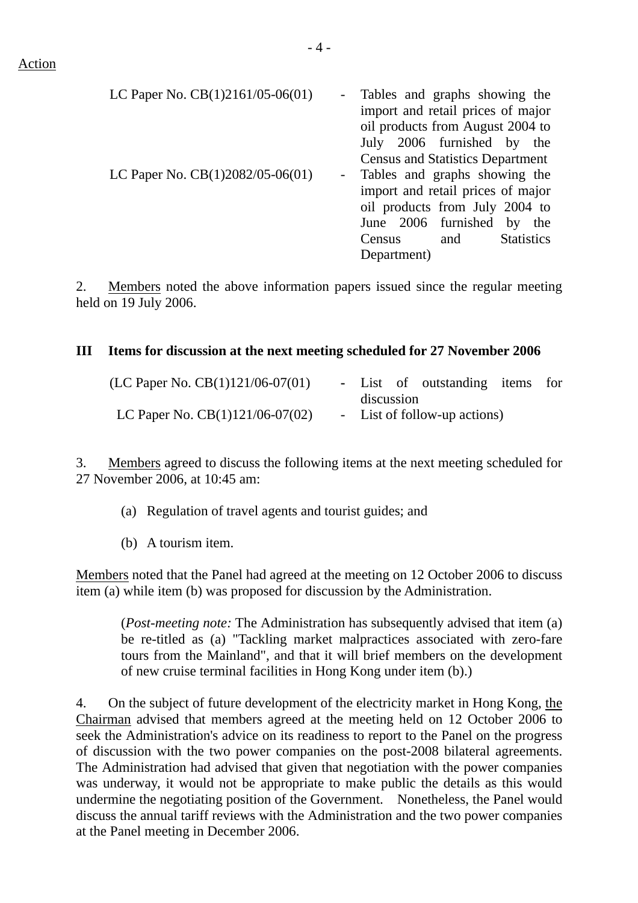| LC Paper No. $CB(1)2161/05-06(01)$ |  | - Tables and graphs showing the         |
|------------------------------------|--|-----------------------------------------|
|                                    |  | import and retail prices of major       |
|                                    |  | oil products from August 2004 to        |
|                                    |  | July 2006 furnished by the              |
|                                    |  | <b>Census and Statistics Department</b> |
| LC Paper No. CB(1)2082/05-06(01)   |  | - Tables and graphs showing the         |
|                                    |  | import and retail prices of major       |
|                                    |  | oil products from July 2004 to          |
|                                    |  | June 2006 furnished by the              |
|                                    |  |                                         |

Census and Statistics

Department)

2. Members noted the above information papers issued since the regular meeting held on 19 July 2006.

#### **III Items for discussion at the next meeting scheduled for 27 November 2006**

| (LC Paper No. $CB(1)121/06-07(01)$ ) |            | - List of outstanding items for |  |
|--------------------------------------|------------|---------------------------------|--|
|                                      | discussion |                                 |  |
| LC Paper No. $CB(1)121/06-07(02)$    |            | - List of follow-up actions)    |  |

3. Members agreed to discuss the following items at the next meeting scheduled for 27 November 2006, at 10:45 am:

- (a) Regulation of travel agents and tourist guides; and
- (b) A tourism item.

Members noted that the Panel had agreed at the meeting on 12 October 2006 to discuss item (a) while item (b) was proposed for discussion by the Administration.

(*Post-meeting note:* The Administration has subsequently advised that item (a) be re-titled as (a) "Tackling market malpractices associated with zero-fare tours from the Mainland", and that it will brief members on the development of new cruise terminal facilities in Hong Kong under item (b).)

4. On the subject of future development of the electricity market in Hong Kong, the Chairman advised that members agreed at the meeting held on 12 October 2006 to seek the Administration's advice on its readiness to report to the Panel on the progress of discussion with the two power companies on the post-2008 bilateral agreements. The Administration had advised that given that negotiation with the power companies was underway, it would not be appropriate to make public the details as this would undermine the negotiating position of the Government. Nonetheless, the Panel would discuss the annual tariff reviews with the Administration and the two power companies at the Panel meeting in December 2006.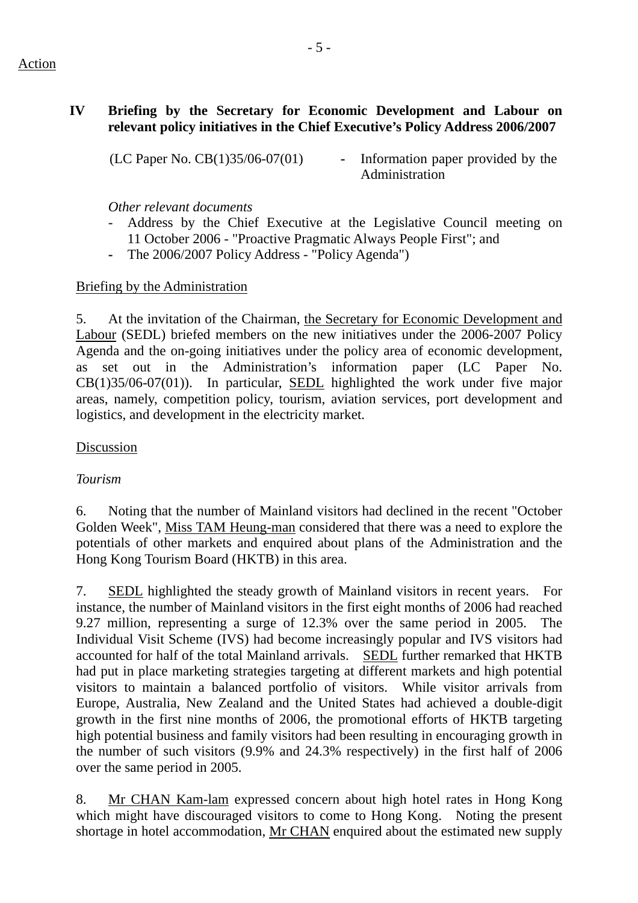### Action

# **IV Briefing by the Secretary for Economic Development and Labour on relevant policy initiatives in the Chief Executive's Policy Address 2006/2007**

(LC Paper No. CB(1)35/06-07(01) **-** Information paper provided by the Administration

# *Other relevant documents*

- Address by the Chief Executive at the Legislative Council meeting on 11 October 2006 - "Proactive Pragmatic Always People First"; and
- The 2006/2007 Policy Address "Policy Agenda")

# Briefing by the Administration

5. At the invitation of the Chairman, the Secretary for Economic Development and Labour (SEDL) briefed members on the new initiatives under the 2006-2007 Policy Agenda and the on-going initiatives under the policy area of economic development, as set out in the Administration's information paper (LC Paper No. CB(1)35/06-07(01)). In particular, SEDL highlighted the work under five major areas, namely, competition policy, tourism, aviation services, port development and logistics, and development in the electricity market.

## Discussion

# *Tourism*

6. Noting that the number of Mainland visitors had declined in the recent "October Golden Week", Miss TAM Heung-man considered that there was a need to explore the potentials of other markets and enquired about plans of the Administration and the Hong Kong Tourism Board (HKTB) in this area.

7. SEDL highlighted the steady growth of Mainland visitors in recent years. For instance, the number of Mainland visitors in the first eight months of 2006 had reached 9.27 million, representing a surge of 12.3% over the same period in 2005. The Individual Visit Scheme (IVS) had become increasingly popular and IVS visitors had accounted for half of the total Mainland arrivals. SEDL further remarked that HKTB had put in place marketing strategies targeting at different markets and high potential visitors to maintain a balanced portfolio of visitors. While visitor arrivals from Europe, Australia, New Zealand and the United States had achieved a double-digit growth in the first nine months of 2006, the promotional efforts of HKTB targeting high potential business and family visitors had been resulting in encouraging growth in the number of such visitors (9.9% and 24.3% respectively) in the first half of 2006 over the same period in 2005.

8. Mr CHAN Kam-lam expressed concern about high hotel rates in Hong Kong which might have discouraged visitors to come to Hong Kong. Noting the present shortage in hotel accommodation, Mr CHAN enquired about the estimated new supply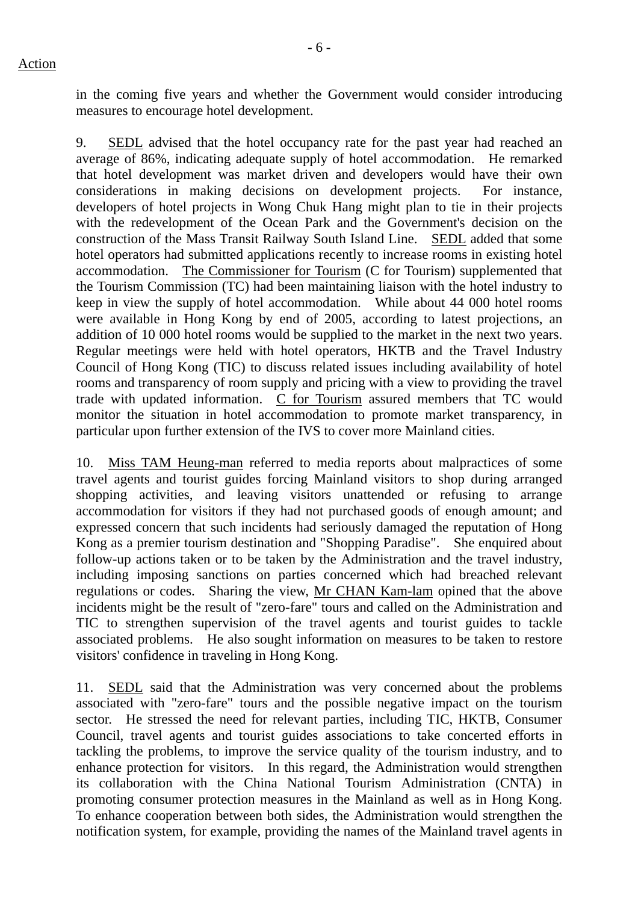in the coming five years and whether the Government would consider introducing measures to encourage hotel development.

9. SEDL advised that the hotel occupancy rate for the past year had reached an average of 86%, indicating adequate supply of hotel accommodation. He remarked that hotel development was market driven and developers would have their own considerations in making decisions on development projects. For instance, developers of hotel projects in Wong Chuk Hang might plan to tie in their projects with the redevelopment of the Ocean Park and the Government's decision on the construction of the Mass Transit Railway South Island Line. SEDL added that some hotel operators had submitted applications recently to increase rooms in existing hotel accommodation. The Commissioner for Tourism (C for Tourism) supplemented that the Tourism Commission (TC) had been maintaining liaison with the hotel industry to keep in view the supply of hotel accommodation. While about 44 000 hotel rooms were available in Hong Kong by end of 2005, according to latest projections, an addition of 10 000 hotel rooms would be supplied to the market in the next two years. Regular meetings were held with hotel operators, HKTB and the Travel Industry Council of Hong Kong (TIC) to discuss related issues including availability of hotel rooms and transparency of room supply and pricing with a view to providing the travel trade with updated information. C for Tourism assured members that TC would monitor the situation in hotel accommodation to promote market transparency, in particular upon further extension of the IVS to cover more Mainland cities.

10. Miss TAM Heung-man referred to media reports about malpractices of some travel agents and tourist guides forcing Mainland visitors to shop during arranged shopping activities, and leaving visitors unattended or refusing to arrange accommodation for visitors if they had not purchased goods of enough amount; and expressed concern that such incidents had seriously damaged the reputation of Hong Kong as a premier tourism destination and "Shopping Paradise". She enquired about follow-up actions taken or to be taken by the Administration and the travel industry, including imposing sanctions on parties concerned which had breached relevant regulations or codes. Sharing the view, Mr CHAN Kam-lam opined that the above incidents might be the result of "zero-fare" tours and called on the Administration and TIC to strengthen supervision of the travel agents and tourist guides to tackle associated problems. He also sought information on measures to be taken to restore visitors' confidence in traveling in Hong Kong.

11. SEDL said that the Administration was very concerned about the problems associated with "zero-fare" tours and the possible negative impact on the tourism sector. He stressed the need for relevant parties, including TIC, HKTB, Consumer Council, travel agents and tourist guides associations to take concerted efforts in tackling the problems, to improve the service quality of the tourism industry, and to enhance protection for visitors. In this regard, the Administration would strengthen its collaboration with the China National Tourism Administration (CNTA) in promoting consumer protection measures in the Mainland as well as in Hong Kong. To enhance cooperation between both sides, the Administration would strengthen the notification system, for example, providing the names of the Mainland travel agents in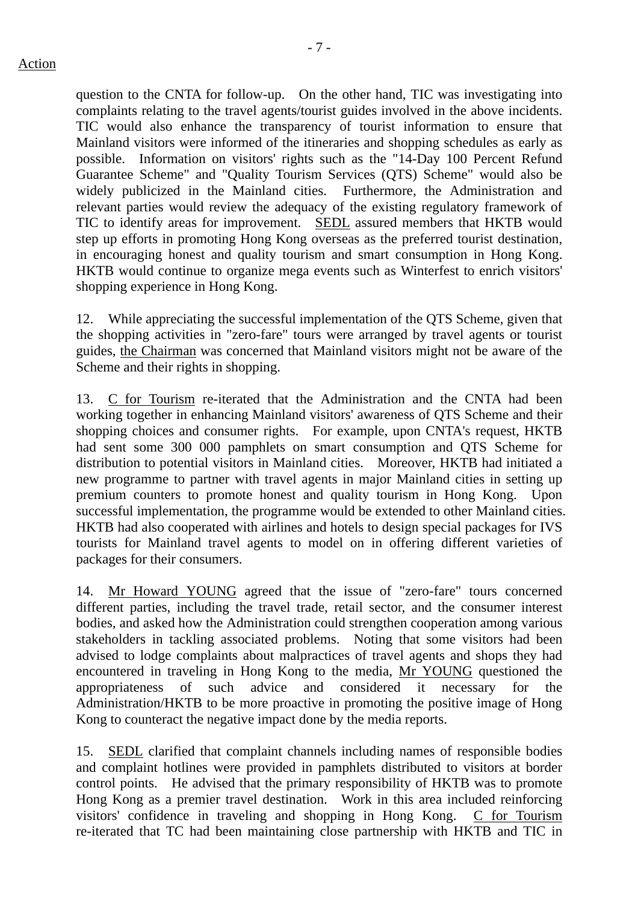question to the CNTA for follow-up. On the other hand, TIC was investigating into complaints relating to the travel agents/tourist guides involved in the above incidents. TIC would also enhance the transparency of tourist information to ensure that Mainland visitors were informed of the itineraries and shopping schedules as early as possible. Information on visitors' rights such as the "14-Day 100 Percent Refund Guarantee Scheme" and "Quality Tourism Services (QTS) Scheme" would also be widely publicized in the Mainland cities. Furthermore, the Administration and relevant parties would review the adequacy of the existing regulatory framework of TIC to identify areas for improvement. SEDL assured members that HKTB would step up efforts in promoting Hong Kong overseas as the preferred tourist destination, in encouraging honest and quality tourism and smart consumption in Hong Kong. HKTB would continue to organize mega events such as Winterfest to enrich visitors' shopping experience in Hong Kong.

12. While appreciating the successful implementation of the QTS Scheme, given that the shopping activities in "zero-fare" tours were arranged by travel agents or tourist guides, the Chairman was concerned that Mainland visitors might not be aware of the Scheme and their rights in shopping.

13. C for Tourism re-iterated that the Administration and the CNTA had been working together in enhancing Mainland visitors' awareness of QTS Scheme and their shopping choices and consumer rights. For example, upon CNTA's request, HKTB had sent some 300 000 pamphlets on smart consumption and QTS Scheme for distribution to potential visitors in Mainland cities. Moreover, HKTB had initiated a new programme to partner with travel agents in major Mainland cities in setting up premium counters to promote honest and quality tourism in Hong Kong. Upon successful implementation, the programme would be extended to other Mainland cities. HKTB had also cooperated with airlines and hotels to design special packages for IVS tourists for Mainland travel agents to model on in offering different varieties of packages for their consumers.

14. Mr Howard YOUNG agreed that the issue of "zero-fare" tours concerned different parties, including the travel trade, retail sector, and the consumer interest bodies, and asked how the Administration could strengthen cooperation among various stakeholders in tackling associated problems. Noting that some visitors had been advised to lodge complaints about malpractices of travel agents and shops they had encountered in traveling in Hong Kong to the media, Mr YOUNG questioned the appropriateness of such advice and considered it necessary for the Administration/HKTB to be more proactive in promoting the positive image of Hong Kong to counteract the negative impact done by the media reports.

15. SEDL clarified that complaint channels including names of responsible bodies and complaint hotlines were provided in pamphlets distributed to visitors at border control points. He advised that the primary responsibility of HKTB was to promote Hong Kong as a premier travel destination. Work in this area included reinforcing visitors' confidence in traveling and shopping in Hong Kong. C for Tourism re-iterated that TC had been maintaining close partnership with HKTB and TIC in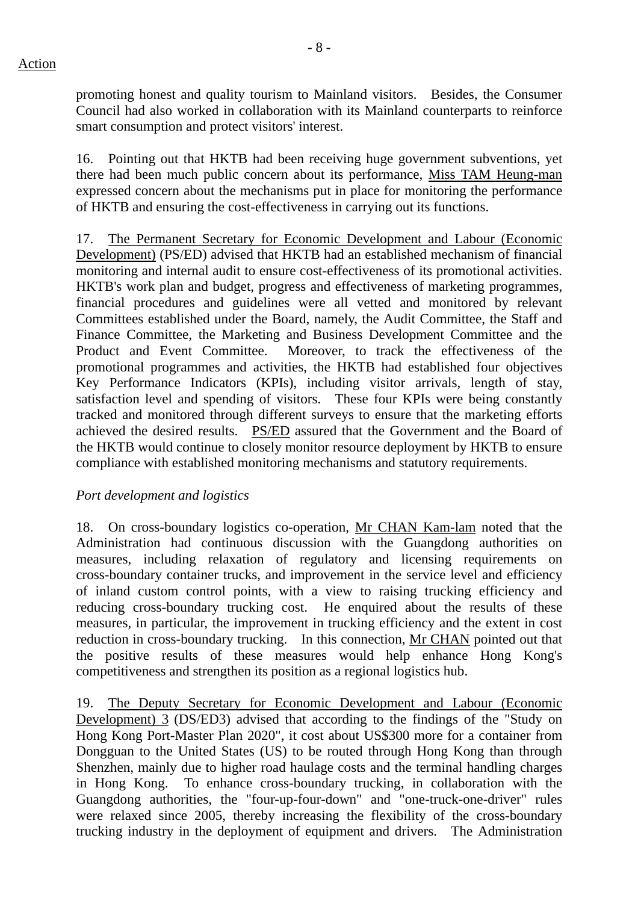promoting honest and quality tourism to Mainland visitors. Besides, the Consumer Council had also worked in collaboration with its Mainland counterparts to reinforce smart consumption and protect visitors' interest.

16. Pointing out that HKTB had been receiving huge government subventions, yet there had been much public concern about its performance, Miss TAM Heung-man expressed concern about the mechanisms put in place for monitoring the performance of HKTB and ensuring the cost-effectiveness in carrying out its functions.

17. The Permanent Secretary for Economic Development and Labour (Economic Development) (PS/ED) advised that HKTB had an established mechanism of financial monitoring and internal audit to ensure cost-effectiveness of its promotional activities. HKTB's work plan and budget, progress and effectiveness of marketing programmes, financial procedures and guidelines were all vetted and monitored by relevant Committees established under the Board, namely, the Audit Committee, the Staff and Finance Committee, the Marketing and Business Development Committee and the Product and Event Committee. Moreover, to track the effectiveness of the promotional programmes and activities, the HKTB had established four objectives Key Performance Indicators (KPIs), including visitor arrivals, length of stay, satisfaction level and spending of visitors. These four KPIs were being constantly tracked and monitored through different surveys to ensure that the marketing efforts achieved the desired results. PS/ED assured that the Government and the Board of the HKTB would continue to closely monitor resource deployment by HKTB to ensure compliance with established monitoring mechanisms and statutory requirements.

## *Port development and logistics*

18. On cross-boundary logistics co-operation, Mr CHAN Kam-lam noted that the Administration had continuous discussion with the Guangdong authorities on measures, including relaxation of regulatory and licensing requirements on cross-boundary container trucks, and improvement in the service level and efficiency of inland custom control points, with a view to raising trucking efficiency and reducing cross-boundary trucking cost. He enquired about the results of these measures, in particular, the improvement in trucking efficiency and the extent in cost reduction in cross-boundary trucking. In this connection, Mr CHAN pointed out that the positive results of these measures would help enhance Hong Kong's competitiveness and strengthen its position as a regional logistics hub.

19. The Deputy Secretary for Economic Development and Labour (Economic Development) 3 (DS/ED3) advised that according to the findings of the "Study on Hong Kong Port-Master Plan 2020", it cost about US\$300 more for a container from Dongguan to the United States (US) to be routed through Hong Kong than through Shenzhen, mainly due to higher road haulage costs and the terminal handling charges in Hong Kong. To enhance cross-boundary trucking, in collaboration with the Guangdong authorities, the "four-up-four-down" and "one-truck-one-driver" rules were relaxed since 2005, thereby increasing the flexibility of the cross-boundary trucking industry in the deployment of equipment and drivers. The Administration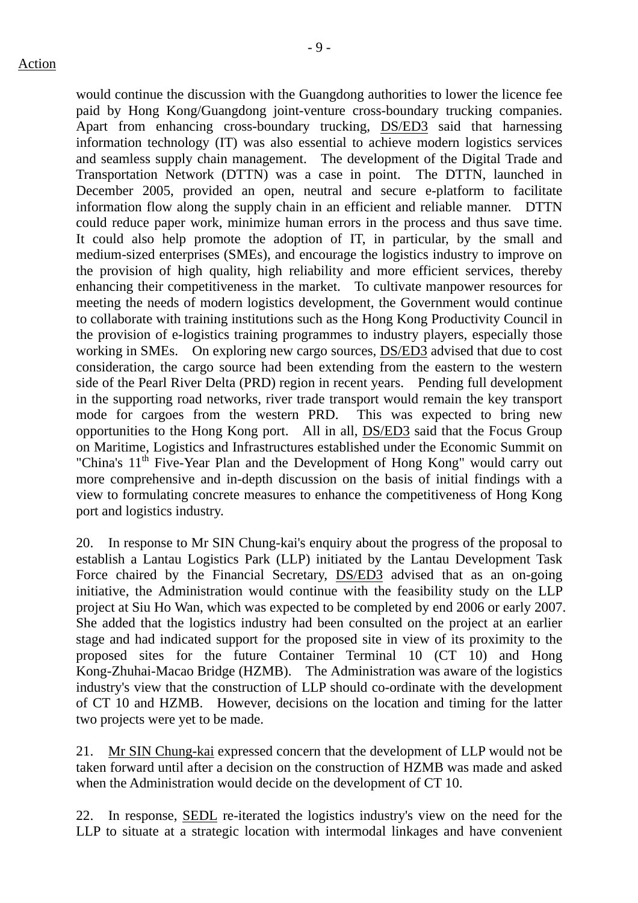would continue the discussion with the Guangdong authorities to lower the licence fee paid by Hong Kong/Guangdong joint-venture cross-boundary trucking companies. Apart from enhancing cross-boundary trucking, DS/ED3 said that harnessing information technology (IT) was also essential to achieve modern logistics services and seamless supply chain management. The development of the Digital Trade and Transportation Network (DTTN) was a case in point. The DTTN, launched in December 2005, provided an open, neutral and secure e-platform to facilitate information flow along the supply chain in an efficient and reliable manner. DTTN could reduce paper work, minimize human errors in the process and thus save time. It could also help promote the adoption of IT, in particular, by the small and medium-sized enterprises (SMEs), and encourage the logistics industry to improve on the provision of high quality, high reliability and more efficient services, thereby enhancing their competitiveness in the market. To cultivate manpower resources for meeting the needs of modern logistics development, the Government would continue to collaborate with training institutions such as the Hong Kong Productivity Council in the provision of e-logistics training programmes to industry players, especially those working in SMEs. On exploring new cargo sources, DS/ED3 advised that due to cost consideration, the cargo source had been extending from the eastern to the western side of the Pearl River Delta (PRD) region in recent years. Pending full development in the supporting road networks, river trade transport would remain the key transport mode for cargoes from the western PRD. This was expected to bring new opportunities to the Hong Kong port. All in all, DS/ED3 said that the Focus Group on Maritime, Logistics and Infrastructures established under the Economic Summit on "China's 11<sup>th</sup> Five-Year Plan and the Development of Hong Kong" would carry out more comprehensive and in-depth discussion on the basis of initial findings with a view to formulating concrete measures to enhance the competitiveness of Hong Kong port and logistics industry.

20. In response to Mr SIN Chung-kai's enquiry about the progress of the proposal to establish a Lantau Logistics Park (LLP) initiated by the Lantau Development Task Force chaired by the Financial Secretary, DS/ED3 advised that as an on-going initiative, the Administration would continue with the feasibility study on the LLP project at Siu Ho Wan, which was expected to be completed by end 2006 or early 2007. She added that the logistics industry had been consulted on the project at an earlier stage and had indicated support for the proposed site in view of its proximity to the proposed sites for the future Container Terminal 10 (CT 10) and Hong Kong-Zhuhai-Macao Bridge (HZMB). The Administration was aware of the logistics industry's view that the construction of LLP should co-ordinate with the development of CT 10 and HZMB. However, decisions on the location and timing for the latter two projects were yet to be made.

21. Mr SIN Chung-kai expressed concern that the development of LLP would not be taken forward until after a decision on the construction of HZMB was made and asked when the Administration would decide on the development of CT 10.

22. In response, SEDL re-iterated the logistics industry's view on the need for the LLP to situate at a strategic location with intermodal linkages and have convenient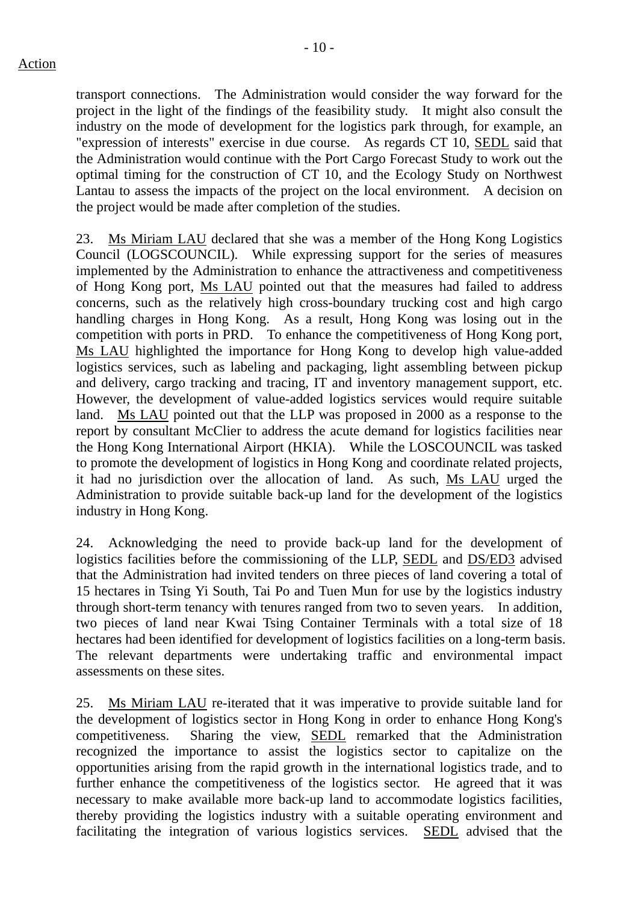transport connections. The Administration would consider the way forward for the project in the light of the findings of the feasibility study. It might also consult the industry on the mode of development for the logistics park through, for example, an "expression of interests" exercise in due course. As regards CT 10, SEDL said that the Administration would continue with the Port Cargo Forecast Study to work out the optimal timing for the construction of CT 10, and the Ecology Study on Northwest Lantau to assess the impacts of the project on the local environment. A decision on the project would be made after completion of the studies.

23. Ms Miriam LAU declared that she was a member of the Hong Kong Logistics Council (LOGSCOUNCIL). While expressing support for the series of measures implemented by the Administration to enhance the attractiveness and competitiveness of Hong Kong port, Ms LAU pointed out that the measures had failed to address concerns, such as the relatively high cross-boundary trucking cost and high cargo handling charges in Hong Kong. As a result, Hong Kong was losing out in the competition with ports in PRD. To enhance the competitiveness of Hong Kong port, Ms LAU highlighted the importance for Hong Kong to develop high value-added logistics services, such as labeling and packaging, light assembling between pickup and delivery, cargo tracking and tracing, IT and inventory management support, etc. However, the development of value-added logistics services would require suitable land. Ms LAU pointed out that the LLP was proposed in 2000 as a response to the report by consultant McClier to address the acute demand for logistics facilities near the Hong Kong International Airport (HKIA). While the LOSCOUNCIL was tasked to promote the development of logistics in Hong Kong and coordinate related projects, it had no jurisdiction over the allocation of land. As such, Ms LAU urged the Administration to provide suitable back-up land for the development of the logistics industry in Hong Kong.

24. Acknowledging the need to provide back-up land for the development of logistics facilities before the commissioning of the LLP, SEDL and DS/ED3 advised that the Administration had invited tenders on three pieces of land covering a total of 15 hectares in Tsing Yi South, Tai Po and Tuen Mun for use by the logistics industry through short-term tenancy with tenures ranged from two to seven years. In addition, two pieces of land near Kwai Tsing Container Terminals with a total size of 18 hectares had been identified for development of logistics facilities on a long-term basis. The relevant departments were undertaking traffic and environmental impact assessments on these sites.

25. Ms Miriam LAU re-iterated that it was imperative to provide suitable land for the development of logistics sector in Hong Kong in order to enhance Hong Kong's competitiveness. Sharing the view, SEDL remarked that the Administration recognized the importance to assist the logistics sector to capitalize on the opportunities arising from the rapid growth in the international logistics trade, and to further enhance the competitiveness of the logistics sector. He agreed that it was necessary to make available more back-up land to accommodate logistics facilities, thereby providing the logistics industry with a suitable operating environment and facilitating the integration of various logistics services. SEDL advised that the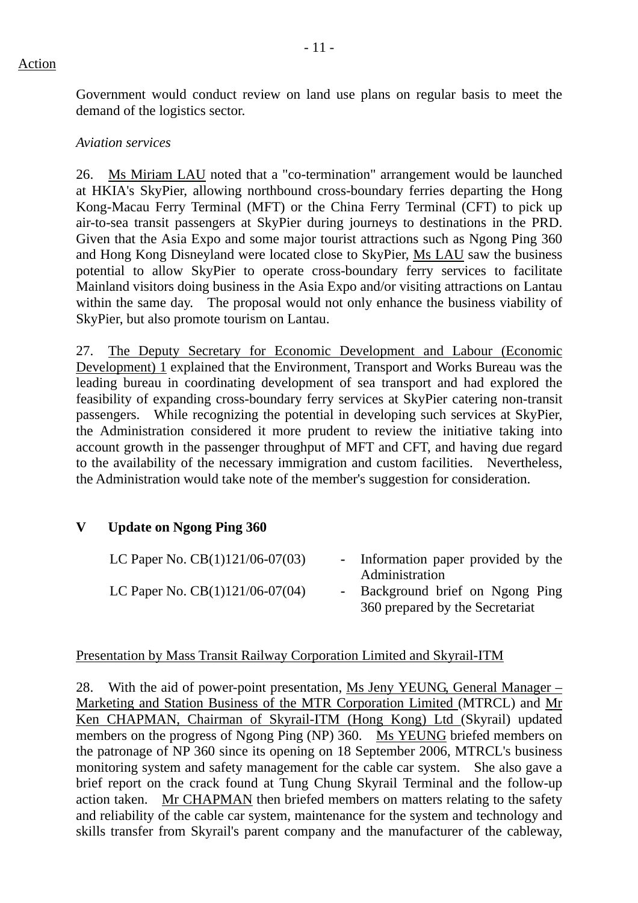Government would conduct review on land use plans on regular basis to meet the demand of the logistics sector.

#### *Aviation services*

26. Ms Miriam LAU noted that a "co-termination" arrangement would be launched at HKIA's SkyPier, allowing northbound cross-boundary ferries departing the Hong Kong-Macau Ferry Terminal (MFT) or the China Ferry Terminal (CFT) to pick up air-to-sea transit passengers at SkyPier during journeys to destinations in the PRD. Given that the Asia Expo and some major tourist attractions such as Ngong Ping 360 and Hong Kong Disneyland were located close to SkyPier, Ms LAU saw the business potential to allow SkyPier to operate cross-boundary ferry services to facilitate Mainland visitors doing business in the Asia Expo and/or visiting attractions on Lantau within the same day. The proposal would not only enhance the business viability of SkyPier, but also promote tourism on Lantau.

27. The Deputy Secretary for Economic Development and Labour (Economic Development) 1 explained that the Environment, Transport and Works Bureau was the leading bureau in coordinating development of sea transport and had explored the feasibility of expanding cross-boundary ferry services at SkyPier catering non-transit passengers. While recognizing the potential in developing such services at SkyPier, the Administration considered it more prudent to review the initiative taking into account growth in the passenger throughput of MFT and CFT, and having due regard to the availability of the necessary immigration and custom facilities. Nevertheless, the Administration would take note of the member's suggestion for consideration.

## **V Update on Ngong Ping 360**

| LC Paper No. $CB(1)121/06-07(03)$ | - Information paper provided by the |
|-----------------------------------|-------------------------------------|
|                                   | Administration                      |
| LC Paper No. $CB(1)121/06-07(04)$ | - Background brief on Ngong Ping    |
|                                   | 360 prepared by the Secretariat     |

## Presentation by Mass Transit Railway Corporation Limited and Skyrail-ITM

28. With the aid of power-point presentation, Ms Jeny YEUNG, General Manager – Marketing and Station Business of the MTR Corporation Limited (MTRCL) and Mr Ken CHAPMAN, Chairman of Skyrail-ITM (Hong Kong) Ltd (Skyrail) updated members on the progress of Ngong Ping (NP) 360. Ms YEUNG briefed members on the patronage of NP 360 since its opening on 18 September 2006, MTRCL's business monitoring system and safety management for the cable car system. She also gave a brief report on the crack found at Tung Chung Skyrail Terminal and the follow-up action taken. Mr CHAPMAN then briefed members on matters relating to the safety and reliability of the cable car system, maintenance for the system and technology and skills transfer from Skyrail's parent company and the manufacturer of the cableway,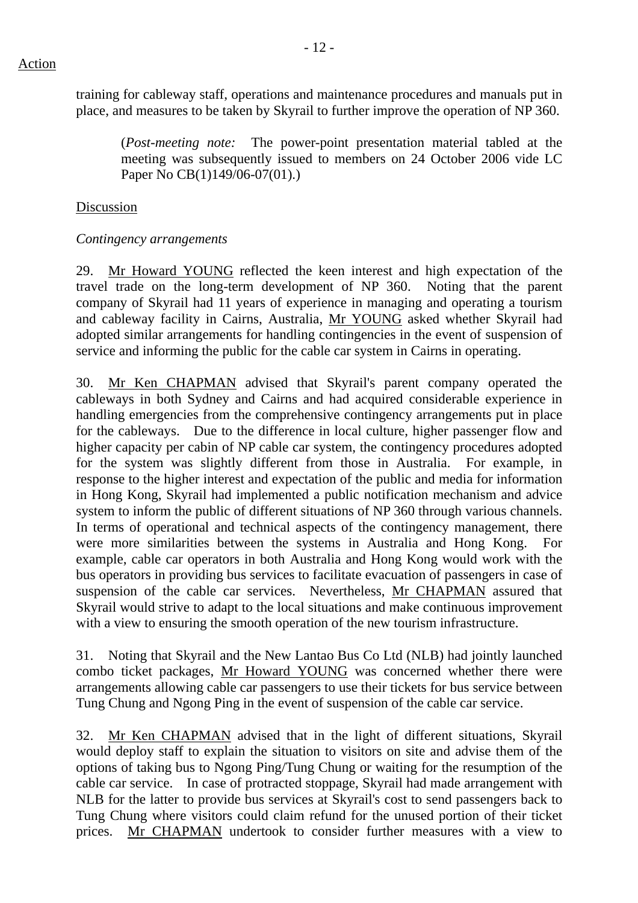training for cableway staff, operations and maintenance procedures and manuals put in place, and measures to be taken by Skyrail to further improve the operation of NP 360.

 (*Post-meeting note:* The power-point presentation material tabled at the meeting was subsequently issued to members on 24 October 2006 vide LC Paper No CB(1)149/06-07(01).)

### Discussion

### *Contingency arrangements*

29. Mr Howard YOUNG reflected the keen interest and high expectation of the travel trade on the long-term development of NP 360. Noting that the parent company of Skyrail had 11 years of experience in managing and operating a tourism and cableway facility in Cairns, Australia, Mr YOUNG asked whether Skyrail had adopted similar arrangements for handling contingencies in the event of suspension of service and informing the public for the cable car system in Cairns in operating.

30. Mr Ken CHAPMAN advised that Skyrail's parent company operated the cableways in both Sydney and Cairns and had acquired considerable experience in handling emergencies from the comprehensive contingency arrangements put in place for the cableways. Due to the difference in local culture, higher passenger flow and higher capacity per cabin of NP cable car system, the contingency procedures adopted for the system was slightly different from those in Australia. For example, in response to the higher interest and expectation of the public and media for information in Hong Kong, Skyrail had implemented a public notification mechanism and advice system to inform the public of different situations of NP 360 through various channels. In terms of operational and technical aspects of the contingency management, there were more similarities between the systems in Australia and Hong Kong. For example, cable car operators in both Australia and Hong Kong would work with the bus operators in providing bus services to facilitate evacuation of passengers in case of suspension of the cable car services. Nevertheless, Mr CHAPMAN assured that Skyrail would strive to adapt to the local situations and make continuous improvement with a view to ensuring the smooth operation of the new tourism infrastructure.

31. Noting that Skyrail and the New Lantao Bus Co Ltd (NLB) had jointly launched combo ticket packages, Mr Howard YOUNG was concerned whether there were arrangements allowing cable car passengers to use their tickets for bus service between Tung Chung and Ngong Ping in the event of suspension of the cable car service.

32. Mr Ken CHAPMAN advised that in the light of different situations, Skyrail would deploy staff to explain the situation to visitors on site and advise them of the options of taking bus to Ngong Ping/Tung Chung or waiting for the resumption of the cable car service. In case of protracted stoppage, Skyrail had made arrangement with NLB for the latter to provide bus services at Skyrail's cost to send passengers back to Tung Chung where visitors could claim refund for the unused portion of their ticket prices. Mr CHAPMAN undertook to consider further measures with a view to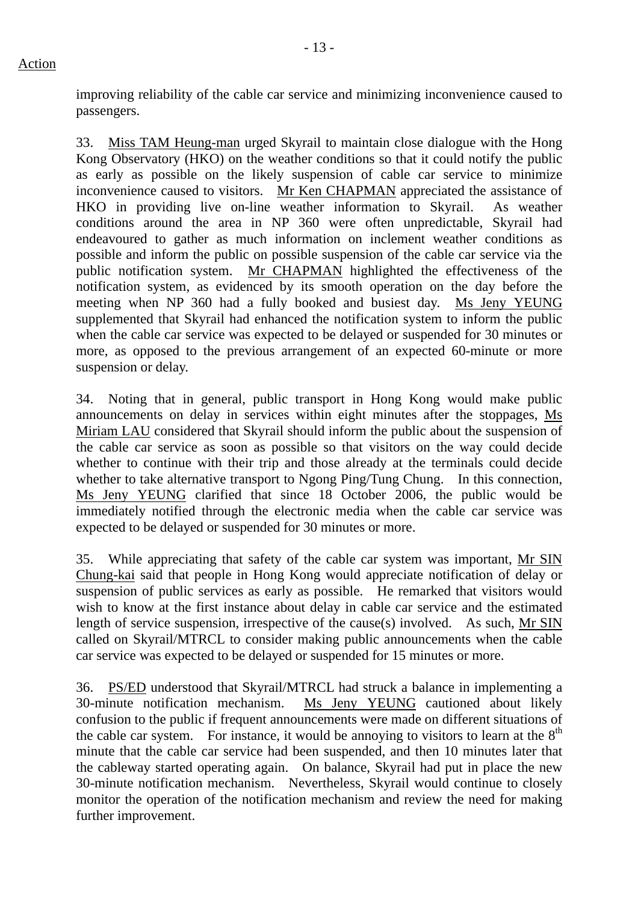improving reliability of the cable car service and minimizing inconvenience caused to passengers.

33. Miss TAM Heung-man urged Skyrail to maintain close dialogue with the Hong Kong Observatory (HKO) on the weather conditions so that it could notify the public as early as possible on the likely suspension of cable car service to minimize inconvenience caused to visitors. Mr Ken CHAPMAN appreciated the assistance of HKO in providing live on-line weather information to Skyrail. As weather conditions around the area in NP 360 were often unpredictable, Skyrail had endeavoured to gather as much information on inclement weather conditions as possible and inform the public on possible suspension of the cable car service via the public notification system. Mr CHAPMAN highlighted the effectiveness of the notification system, as evidenced by its smooth operation on the day before the meeting when NP 360 had a fully booked and busiest day. Ms Jeny YEUNG supplemented that Skyrail had enhanced the notification system to inform the public when the cable car service was expected to be delayed or suspended for 30 minutes or more, as opposed to the previous arrangement of an expected 60-minute or more suspension or delay.

34. Noting that in general, public transport in Hong Kong would make public announcements on delay in services within eight minutes after the stoppages, Ms Miriam LAU considered that Skyrail should inform the public about the suspension of the cable car service as soon as possible so that visitors on the way could decide whether to continue with their trip and those already at the terminals could decide whether to take alternative transport to Ngong Ping/Tung Chung. In this connection, Ms Jeny YEUNG clarified that since 18 October 2006, the public would be immediately notified through the electronic media when the cable car service was expected to be delayed or suspended for 30 minutes or more.

35. While appreciating that safety of the cable car system was important, Mr SIN Chung-kai said that people in Hong Kong would appreciate notification of delay or suspension of public services as early as possible. He remarked that visitors would wish to know at the first instance about delay in cable car service and the estimated length of service suspension, irrespective of the cause(s) involved. As such, Mr SIN called on Skyrail/MTRCL to consider making public announcements when the cable car service was expected to be delayed or suspended for 15 minutes or more.

36. PS/ED understood that Skyrail/MTRCL had struck a balance in implementing a 30-minute notification mechanism. Ms Jeny YEUNG cautioned about likely confusion to the public if frequent announcements were made on different situations of the cable car system. For instance, it would be annoying to visitors to learn at the  $8<sup>th</sup>$ minute that the cable car service had been suspended, and then 10 minutes later that the cableway started operating again. On balance, Skyrail had put in place the new 30-minute notification mechanism. Nevertheless, Skyrail would continue to closely monitor the operation of the notification mechanism and review the need for making further improvement.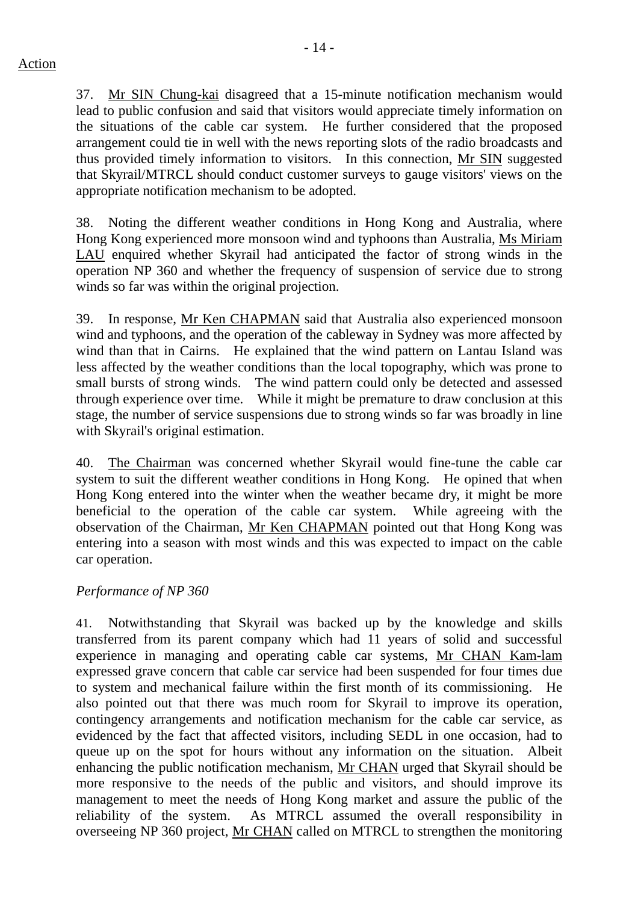- 14 -

37. Mr SIN Chung-kai disagreed that a 15-minute notification mechanism would lead to public confusion and said that visitors would appreciate timely information on the situations of the cable car system. He further considered that the proposed arrangement could tie in well with the news reporting slots of the radio broadcasts and thus provided timely information to visitors. In this connection, Mr SIN suggested that Skyrail/MTRCL should conduct customer surveys to gauge visitors' views on the appropriate notification mechanism to be adopted.

38. Noting the different weather conditions in Hong Kong and Australia, where Hong Kong experienced more monsoon wind and typhoons than Australia, Ms Miriam LAU enquired whether Skyrail had anticipated the factor of strong winds in the operation NP 360 and whether the frequency of suspension of service due to strong winds so far was within the original projection.

39. In response, Mr Ken CHAPMAN said that Australia also experienced monsoon wind and typhoons, and the operation of the cableway in Sydney was more affected by wind than that in Cairns. He explained that the wind pattern on Lantau Island was less affected by the weather conditions than the local topography, which was prone to small bursts of strong winds. The wind pattern could only be detected and assessed through experience over time. While it might be premature to draw conclusion at this stage, the number of service suspensions due to strong winds so far was broadly in line with Skyrail's original estimation.

40. The Chairman was concerned whether Skyrail would fine-tune the cable car system to suit the different weather conditions in Hong Kong. He opined that when Hong Kong entered into the winter when the weather became dry, it might be more beneficial to the operation of the cable car system. While agreeing with the observation of the Chairman, Mr Ken CHAPMAN pointed out that Hong Kong was entering into a season with most winds and this was expected to impact on the cable car operation.

# *Performance of NP 360*

41. Notwithstanding that Skyrail was backed up by the knowledge and skills transferred from its parent company which had 11 years of solid and successful experience in managing and operating cable car systems, Mr CHAN Kam-lam expressed grave concern that cable car service had been suspended for four times due to system and mechanical failure within the first month of its commissioning. He also pointed out that there was much room for Skyrail to improve its operation, contingency arrangements and notification mechanism for the cable car service, as evidenced by the fact that affected visitors, including SEDL in one occasion, had to queue up on the spot for hours without any information on the situation. Albeit enhancing the public notification mechanism, Mr CHAN urged that Skyrail should be more responsive to the needs of the public and visitors, and should improve its management to meet the needs of Hong Kong market and assure the public of the reliability of the system. As MTRCL assumed the overall responsibility in overseeing NP 360 project, Mr CHAN called on MTRCL to strengthen the monitoring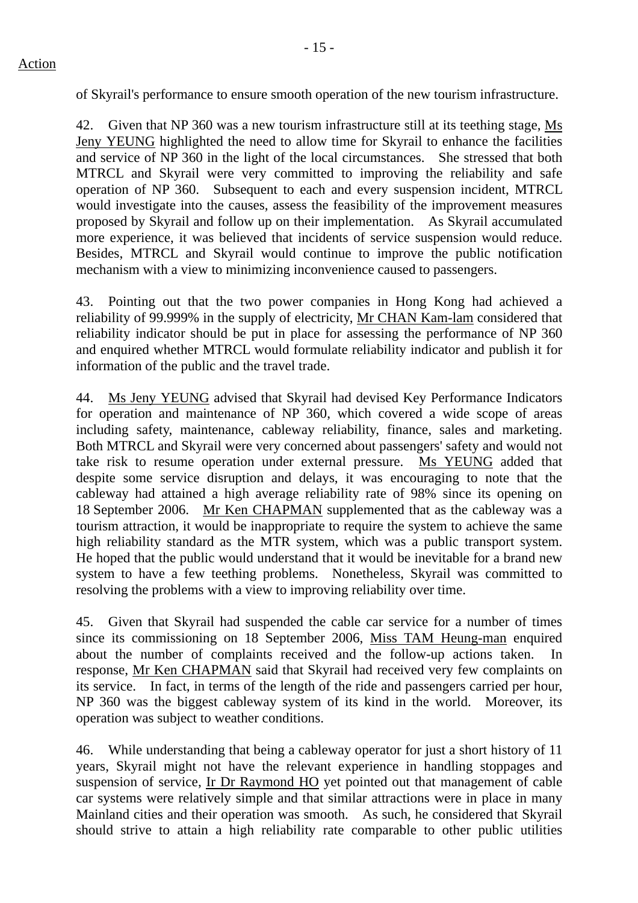of Skyrail's performance to ensure smooth operation of the new tourism infrastructure.

42. Given that NP 360 was a new tourism infrastructure still at its teething stage, Ms Jeny YEUNG highlighted the need to allow time for Skyrail to enhance the facilities and service of NP 360 in the light of the local circumstances. She stressed that both MTRCL and Skyrail were very committed to improving the reliability and safe operation of NP 360. Subsequent to each and every suspension incident, MTRCL would investigate into the causes, assess the feasibility of the improvement measures proposed by Skyrail and follow up on their implementation. As Skyrail accumulated more experience, it was believed that incidents of service suspension would reduce. Besides, MTRCL and Skyrail would continue to improve the public notification mechanism with a view to minimizing inconvenience caused to passengers.

43. Pointing out that the two power companies in Hong Kong had achieved a reliability of 99.999% in the supply of electricity, Mr CHAN Kam-lam considered that reliability indicator should be put in place for assessing the performance of NP 360 and enquired whether MTRCL would formulate reliability indicator and publish it for information of the public and the travel trade.

44. Ms Jeny YEUNG advised that Skyrail had devised Key Performance Indicators for operation and maintenance of NP 360, which covered a wide scope of areas including safety, maintenance, cableway reliability, finance, sales and marketing. Both MTRCL and Skyrail were very concerned about passengers' safety and would not take risk to resume operation under external pressure. Ms YEUNG added that despite some service disruption and delays, it was encouraging to note that the cableway had attained a high average reliability rate of 98% since its opening on 18 September 2006. Mr Ken CHAPMAN supplemented that as the cableway was a tourism attraction, it would be inappropriate to require the system to achieve the same high reliability standard as the MTR system, which was a public transport system. He hoped that the public would understand that it would be inevitable for a brand new system to have a few teething problems. Nonetheless, Skyrail was committed to resolving the problems with a view to improving reliability over time.

45. Given that Skyrail had suspended the cable car service for a number of times since its commissioning on 18 September 2006, Miss TAM Heung-man enquired about the number of complaints received and the follow-up actions taken. In response, Mr Ken CHAPMAN said that Skyrail had received very few complaints on its service. In fact, in terms of the length of the ride and passengers carried per hour, NP 360 was the biggest cableway system of its kind in the world. Moreover, its operation was subject to weather conditions.

46. While understanding that being a cableway operator for just a short history of 11 years, Skyrail might not have the relevant experience in handling stoppages and suspension of service, Ir Dr Raymond HO yet pointed out that management of cable car systems were relatively simple and that similar attractions were in place in many Mainland cities and their operation was smooth. As such, he considered that Skyrail should strive to attain a high reliability rate comparable to other public utilities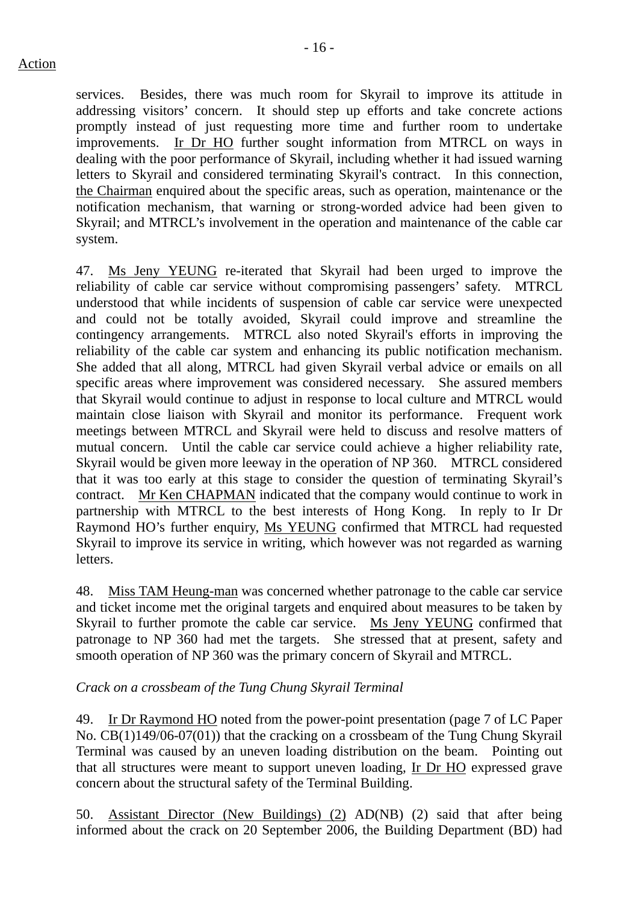services. Besides, there was much room for Skyrail to improve its attitude in addressing visitors' concern. It should step up efforts and take concrete actions promptly instead of just requesting more time and further room to undertake improvements. Ir Dr HO further sought information from MTRCL on ways in dealing with the poor performance of Skyrail, including whether it had issued warning letters to Skyrail and considered terminating Skyrail's contract. In this connection, the Chairman enquired about the specific areas, such as operation, maintenance or the notification mechanism, that warning or strong-worded advice had been given to Skyrail; and MTRCL's involvement in the operation and maintenance of the cable car system.

47. Ms Jeny YEUNG re-iterated that Skyrail had been urged to improve the reliability of cable car service without compromising passengers' safety. MTRCL understood that while incidents of suspension of cable car service were unexpected and could not be totally avoided, Skyrail could improve and streamline the contingency arrangements. MTRCL also noted Skyrail's efforts in improving the reliability of the cable car system and enhancing its public notification mechanism. She added that all along, MTRCL had given Skyrail verbal advice or emails on all specific areas where improvement was considered necessary. She assured members that Skyrail would continue to adjust in response to local culture and MTRCL would maintain close liaison with Skyrail and monitor its performance. Frequent work meetings between MTRCL and Skyrail were held to discuss and resolve matters of mutual concern. Until the cable car service could achieve a higher reliability rate, Skyrail would be given more leeway in the operation of NP 360. MTRCL considered that it was too early at this stage to consider the question of terminating Skyrail's contract. Mr Ken CHAPMAN indicated that the company would continue to work in partnership with MTRCL to the best interests of Hong Kong. In reply to Ir Dr Raymond HO's further enquiry, Ms YEUNG confirmed that MTRCL had requested Skyrail to improve its service in writing, which however was not regarded as warning letters.

48. Miss TAM Heung-man was concerned whether patronage to the cable car service and ticket income met the original targets and enquired about measures to be taken by Skyrail to further promote the cable car service. Ms Jeny YEUNG confirmed that patronage to NP 360 had met the targets. She stressed that at present, safety and smooth operation of NP 360 was the primary concern of Skyrail and MTRCL.

## *Crack on a crossbeam of the Tung Chung Skyrail Terminal*

49. Ir Dr Raymond HO noted from the power-point presentation (page 7 of LC Paper No. CB(1)149/06-07(01)) that the cracking on a crossbeam of the Tung Chung Skyrail Terminal was caused by an uneven loading distribution on the beam. Pointing out that all structures were meant to support uneven loading, Ir Dr HO expressed grave concern about the structural safety of the Terminal Building.

50. Assistant Director (New Buildings) (2) AD(NB) (2) said that after being informed about the crack on 20 September 2006, the Building Department (BD) had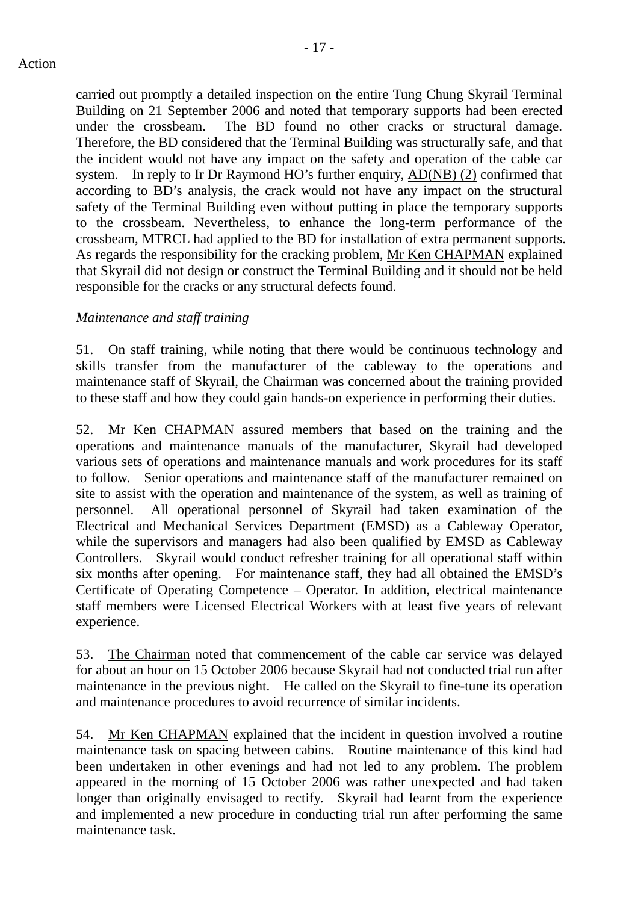carried out promptly a detailed inspection on the entire Tung Chung Skyrail Terminal Building on 21 September 2006 and noted that temporary supports had been erected under the crossbeam. The BD found no other cracks or structural damage. Therefore, the BD considered that the Terminal Building was structurally safe, and that the incident would not have any impact on the safety and operation of the cable car system. In reply to Ir Dr Raymond HO's further enquiry, AD(NB) (2) confirmed that according to BD's analysis, the crack would not have any impact on the structural safety of the Terminal Building even without putting in place the temporary supports to the crossbeam. Nevertheless, to enhance the long-term performance of the crossbeam, MTRCL had applied to the BD for installation of extra permanent supports. As regards the responsibility for the cracking problem, Mr Ken CHAPMAN explained that Skyrail did not design or construct the Terminal Building and it should not be held responsible for the cracks or any structural defects found.

## *Maintenance and staff training*

51. On staff training, while noting that there would be continuous technology and skills transfer from the manufacturer of the cableway to the operations and maintenance staff of Skyrail, the Chairman was concerned about the training provided to these staff and how they could gain hands-on experience in performing their duties.

52. Mr Ken CHAPMAN assured members that based on the training and the operations and maintenance manuals of the manufacturer, Skyrail had developed various sets of operations and maintenance manuals and work procedures for its staff to follow. Senior operations and maintenance staff of the manufacturer remained on site to assist with the operation and maintenance of the system, as well as training of personnel. All operational personnel of Skyrail had taken examination of the Electrical and Mechanical Services Department (EMSD) as a Cableway Operator, while the supervisors and managers had also been qualified by EMSD as Cableway Controllers. Skyrail would conduct refresher training for all operational staff within six months after opening. For maintenance staff, they had all obtained the EMSD's Certificate of Operating Competence – Operator. In addition, electrical maintenance staff members were Licensed Electrical Workers with at least five years of relevant experience.

53. The Chairman noted that commencement of the cable car service was delayed for about an hour on 15 October 2006 because Skyrail had not conducted trial run after maintenance in the previous night. He called on the Skyrail to fine-tune its operation and maintenance procedures to avoid recurrence of similar incidents.

54. Mr Ken CHAPMAN explained that the incident in question involved a routine maintenance task on spacing between cabins. Routine maintenance of this kind had been undertaken in other evenings and had not led to any problem. The problem appeared in the morning of 15 October 2006 was rather unexpected and had taken longer than originally envisaged to rectify. Skyrail had learnt from the experience and implemented a new procedure in conducting trial run after performing the same maintenance task.